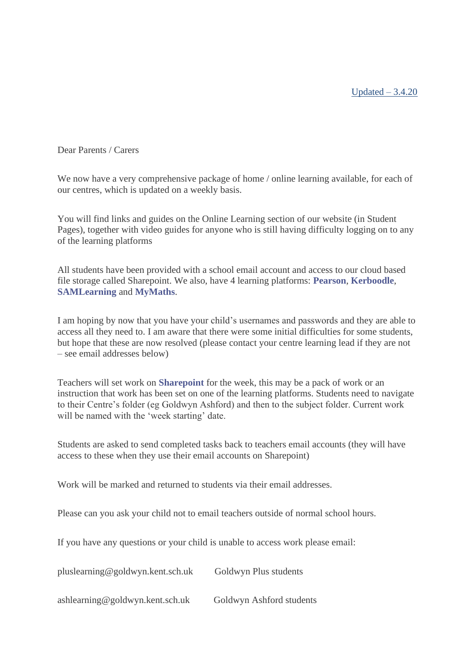Updated  $-3.4.20$ 

Dear Parents / Carers

We now have a very comprehensive package of home / online learning available, for each of our centres, which is updated on a weekly basis.

You will find links and guides on the [Online Learning](http://www.goldwyn.kent.sch.uk/student-pages/online-learning/) section of our website (in Student Pages), together with video guides for anyone who is still having difficulty logging on to any of the learning platforms

All students have been provided with a school email account and access to our cloud based file storage called Sharepoint. We also, have 4 learning platforms: **[Pearson](http://www.pearsonactivelearn.com/)**, **[Kerboodle](http://www.kerboodle.com/)**, **[SAMLearning](http://www.samlearning.com/)** and **[MyMaths](https://login.mymaths.co.uk/)**.

I am hoping by now that you have your child's usernames and passwords and they are able to access all they need to. I am aware that there were some initial difficulties for some students, but hope that these are now resolved (please contact your centre learning lead if they are not – see email addresses below)

Teachers will set work on **[Sharepoint](https://www.klz.org.uk/schools/8867041/students/SitePages/Home.aspx)** for the week, this may be a pack of work or an instruction that work has been set on one of the learning platforms. Students need to navigate to their Centre's folder (eg Goldwyn Ashford) and then to the subject folder. Current work will be named with the 'week starting' date.

Students are asked to send completed tasks back to teachers email accounts (they will have access to these when they use their email accounts on Sharepoint)

Work will be marked and returned to students via their email addresses.

Please can you ask your child not to email teachers outside of normal school hours.

If you have any questions or your child is unable to access work please email:

pluslearning@goldwyn.kent.sch.uk Goldwyn Plus students

ashlearning@goldwyn.kent.sch.uk Goldwyn Ashford students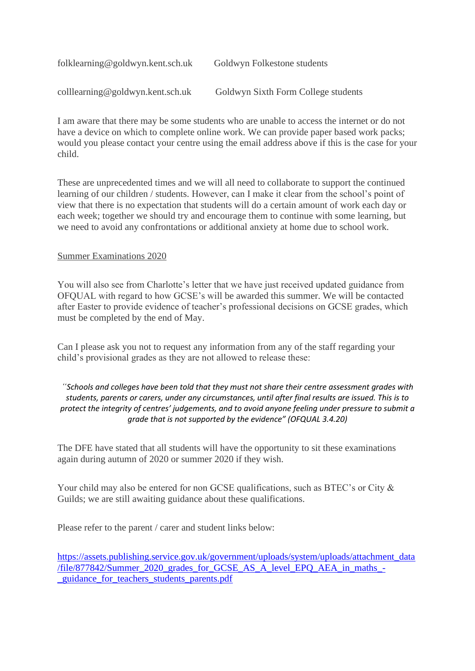| folklearning@goldwyn.kent.sch.uk | Goldwyn Folkestone students         |
|----------------------------------|-------------------------------------|
| colllearning@goldwyn.kent.sch.uk | Goldwyn Sixth Form College students |

I am aware that there may be some students who are unable to access the internet or do not have a device on which to complete online work. We can provide paper based work packs; would you please contact your centre using the email address above if this is the case for your child.

These are unprecedented times and we will all need to collaborate to support the continued learning of our children / students. However, can I make it clear from the school's point of view that there is no expectation that students will do a certain amount of work each day or each week; together we should try and encourage them to continue with some learning, but we need to avoid any confrontations or additional anxiety at home due to school work.

## Summer Examinations 2020

You will also see from Charlotte's letter that we have just received updated guidance from OFQUAL with regard to how GCSE's will be awarded this summer. We will be contacted after Easter to provide evidence of teacher's professional decisions on GCSE grades, which must be completed by the end of May.

Can I please ask you not to request any information from any of the staff regarding your child's provisional grades as they are not allowed to release these:

## *"Schools and colleges have been told that they must not share their centre assessment grades with students, parents or carers, under any circumstances, until after final results are issued. This is to protect the integrity of centres' judgements, and to avoid anyone feeling under pressure to submit a grade that is not supported by the evidence" (OFQUAL 3.4.20)*

The DFE have stated that all students will have the opportunity to sit these examinations again during autumn of 2020 or summer 2020 if they wish.

Your child may also be entered for non GCSE qualifications, such as BTEC's or City & Guilds; we are still awaiting guidance about these qualifications.

Please refer to the parent / carer and student links below:

[https://assets.publishing.service.gov.uk/government/uploads/system/uploads/attachment\\_data](https://assets.publishing.service.gov.uk/government/uploads/system/uploads/attachment_data/file/877842/Summer_2020_grades_for_GCSE_AS_A_level_EPQ_AEA_in_maths_-_guidance_for_teachers_students_parents.pdf) [/file/877842/Summer\\_2020\\_grades\\_for\\_GCSE\\_AS\\_A\\_level\\_EPQ\\_AEA\\_in\\_maths\\_-](https://assets.publishing.service.gov.uk/government/uploads/system/uploads/attachment_data/file/877842/Summer_2020_grades_for_GCSE_AS_A_level_EPQ_AEA_in_maths_-_guidance_for_teachers_students_parents.pdf) [\\_guidance\\_for\\_teachers\\_students\\_parents.pdf](https://assets.publishing.service.gov.uk/government/uploads/system/uploads/attachment_data/file/877842/Summer_2020_grades_for_GCSE_AS_A_level_EPQ_AEA_in_maths_-_guidance_for_teachers_students_parents.pdf)